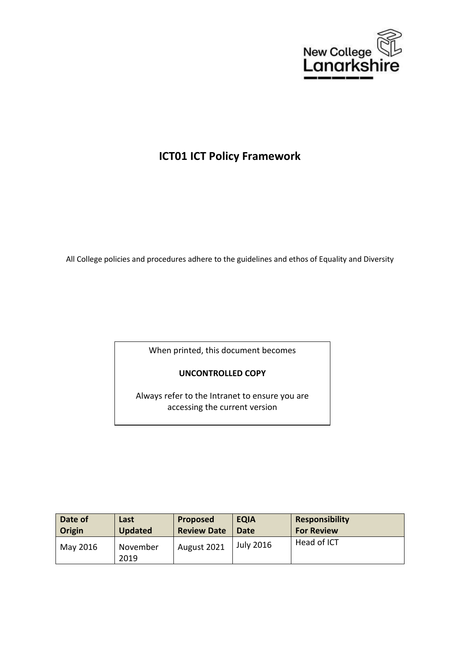

# **ICT01 ICT Policy Framework**

All College policies and procedures adhere to the guidelines and ethos of Equality and Diversity

When printed, this document becomes

# **UNCONTROLLED COPY**

Always refer to the Intranet to ensure you are accessing the current version

| Date of  | Last             | <b>Proposed</b>    | <b>EQIA</b>      | Responsibility    |
|----------|------------------|--------------------|------------------|-------------------|
| Origin   | <b>Updated</b>   | <b>Review Date</b> | Date             | <b>For Review</b> |
| May 2016 | November<br>2019 | August 2021        | <b>July 2016</b> | Head of ICT       |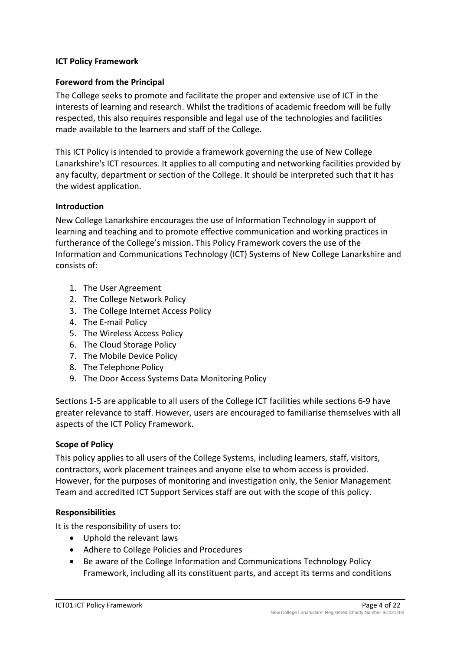#### <span id="page-3-1"></span><span id="page-3-0"></span>**ICT Policy Framework**

#### **Foreword from the Principal**

The College seeks to promote and facilitate the proper and extensive use of ICT in the interests of learning and research. Whilst the traditions of academic freedom will be fully respected, this also requires responsible and legal use of the technologies and facilities made available to the learners and staff of the College.

This ICT Policy is intended to provide a framework governing the use of New College Lanarkshire's ICT resources. It applies to all computing and networking facilities provided by any faculty, department or section of the College. It should be interpreted such that it has the widest application.

#### <span id="page-3-2"></span>**Introduction**

New College Lanarkshire encourages the use of Information Technology in support of learning and teaching and to promote effective communication and working practices in furtherance of the College's mission. This Policy Framework covers the use of the Information and Communications Technology (ICT) Systems of New College Lanarkshire and consists of:

- 1. The User Agreement
- 2. The College Network Policy
- 3. The College Internet Access Policy
- 4. The E-mail Policy
- 5. The Wireless Access Policy
- 6. The Cloud Storage Policy
- 7. The Mobile Device Policy
- 8. The Telephone Policy
- 9. The Door Access Systems Data Monitoring Policy

Sections 1-5 are applicable to all users of the College ICT facilities while sections 6-9 have greater relevance to staff. However, users are encouraged to familiarise themselves with all aspects of the ICT Policy Framework.

#### <span id="page-3-3"></span>**Scope of Policy**

This policy applies to all users of the College Systems, including learners, staff, visitors, contractors, work placement trainees and anyone else to whom access is provided. However, for the purposes of monitoring and investigation only, the Senior Management Team and accredited ICT Support Services staff are out with the scope of this policy.

#### <span id="page-3-4"></span>**Responsibilities**

It is the responsibility of users to:

- Uphold the relevant laws
- Adhere to College Policies and Procedures
- Be aware of the College Information and Communications Technology Policy Framework, including all its constituent parts, and accept its terms and conditions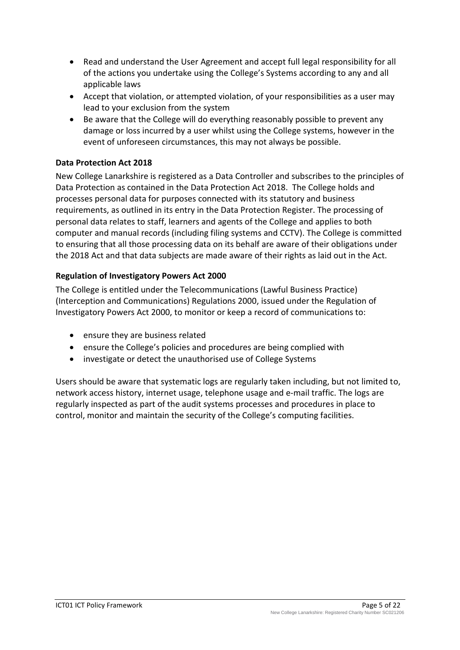- Read and understand the User Agreement and accept full legal responsibility for all of the actions you undertake using the College's Systems according to any and all applicable laws
- Accept that violation, or attempted violation, of your responsibilities as a user may lead to your exclusion from the system
- Be aware that the College will do everything reasonably possible to prevent any damage or loss incurred by a user whilst using the College systems, however in the event of unforeseen circumstances, this may not always be possible.

# **Data Protection Act 2018**

New College Lanarkshire is registered as a Data Controller and subscribes to the principles of Data Protection as contained in the Data Protection Act 2018. The College holds and processes personal data for purposes connected with its statutory and business requirements, as outlined in its entry in the Data Protection Register. The processing of personal data relates to staff, learners and agents of the College and applies to both computer and manual records (including filing systems and CCTV). The College is committed to ensuring that all those processing data on its behalf are aware of their obligations under the 2018 Act and that data subjects are made aware of their rights as laid out in the Act.

# **Regulation of Investigatory Powers Act 2000**

The College is entitled under the Telecommunications (Lawful Business Practice) (Interception and Communications) Regulations 2000, issued under the Regulation of Investigatory Powers Act 2000, to monitor or keep a record of communications to:

- ensure they are business related
- ensure the College's policies and procedures are being complied with
- investigate or detect the unauthorised use of College Systems

Users should be aware that systematic logs are regularly taken including, but not limited to, network access history, internet usage, telephone usage and e-mail traffic. The logs are regularly inspected as part of the audit systems processes and procedures in place to control, monitor and maintain the security of the College's computing facilities.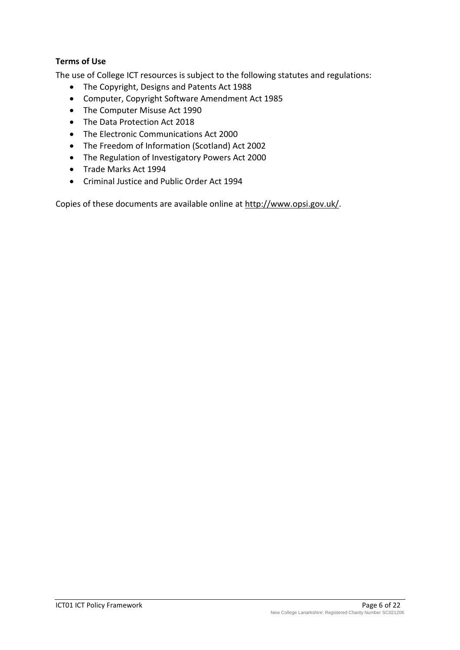# **Terms of Use**

The use of College ICT resources is subject to the following statutes and regulations:

- The Copyright, Designs and Patents Act 1988
- Computer, Copyright Software Amendment Act 1985
- The Computer Misuse Act 1990
- The Data Protection Act 2018
- The Electronic Communications Act 2000
- The Freedom of Information (Scotland) Act 2002
- The Regulation of Investigatory Powers Act 2000
- Trade Marks Act 1994
- Criminal Justice and Public Order Act 1994

Copies of these documents are available online at [http://www.opsi.gov.uk/.](http://www.opsi.gov.uk/)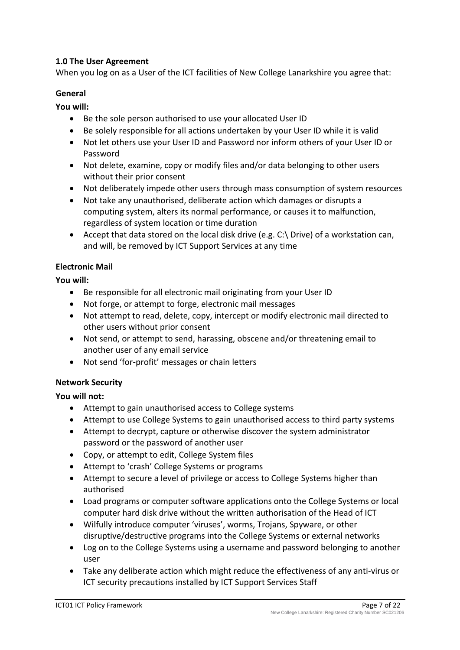# <span id="page-6-0"></span>**1.0 The User Agreement**

When you log on as a User of the ICT facilities of New College Lanarkshire you agree that:

## <span id="page-6-1"></span>**General**

# **You will:**

- Be the sole person authorised to use your allocated User ID
- Be solely responsible for all actions undertaken by your User ID while it is valid
- Not let others use your User ID and Password nor inform others of your User ID or Password
- Not delete, examine, copy or modify files and/or data belonging to other users without their prior consent
- Not deliberately impede other users through mass consumption of system resources
- Not take any unauthorised, deliberate action which damages or disrupts a computing system, alters its normal performance, or causes it to malfunction, regardless of system location or time duration
- Accept that data stored on the local disk drive (e.g. C:\ Drive) of a workstation can, and will, be removed by ICT Support Services at any time

# <span id="page-6-2"></span>**Electronic Mail**

**You will:** 

- Be responsible for all electronic mail originating from your User ID
- Not forge, or attempt to forge, electronic mail messages
- Not attempt to read, delete, copy, intercept or modify electronic mail directed to other users without prior consent
- Not send, or attempt to send, harassing, obscene and/or threatening email to another user of any email service
- Not send 'for-profit' messages or chain letters

## <span id="page-6-3"></span>**Network Security**

**You will not:**

- Attempt to gain unauthorised access to College systems
- Attempt to use College Systems to gain unauthorised access to third party systems
- Attempt to decrypt, capture or otherwise discover the system administrator password or the password of another user
- Copy, or attempt to edit, College System files
- Attempt to 'crash' College Systems or programs
- Attempt to secure a level of privilege or access to College Systems higher than authorised
- Load programs or computer software applications onto the College Systems or local computer hard disk drive without the written authorisation of the Head of ICT
- Wilfully introduce computer 'viruses', worms, Trojans, Spyware, or other disruptive/destructive programs into the College Systems or external networks
- Log on to the College Systems using a username and password belonging to another user
- Take any deliberate action which might reduce the effectiveness of any anti-virus or ICT security precautions installed by ICT Support Services Staff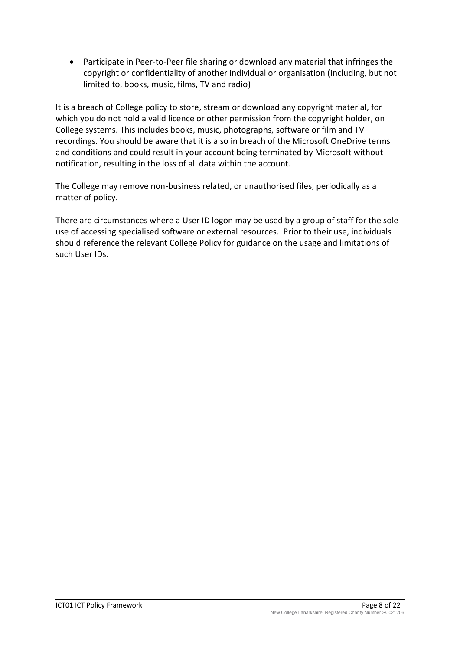Participate in Peer-to-Peer file sharing or download any material that infringes the copyright or confidentiality of another individual or organisation (including, but not limited to, books, music, films, TV and radio)

It is a breach of College policy to store, stream or download any copyright material, for which you do not hold a valid licence or other permission from the copyright holder, on College systems. This includes books, music, photographs, software or film and TV recordings. You should be aware that it is also in breach of the Microsoft OneDrive terms and conditions and could result in your account being terminated by Microsoft without notification, resulting in the loss of all data within the account.

The College may remove non-business related, or unauthorised files, periodically as a matter of policy.

There are circumstances where a User ID logon may be used by a group of staff for the sole use of accessing specialised software or external resources. Prior to their use, individuals should reference the relevant College Policy for guidance on the usage and limitations of such User IDs.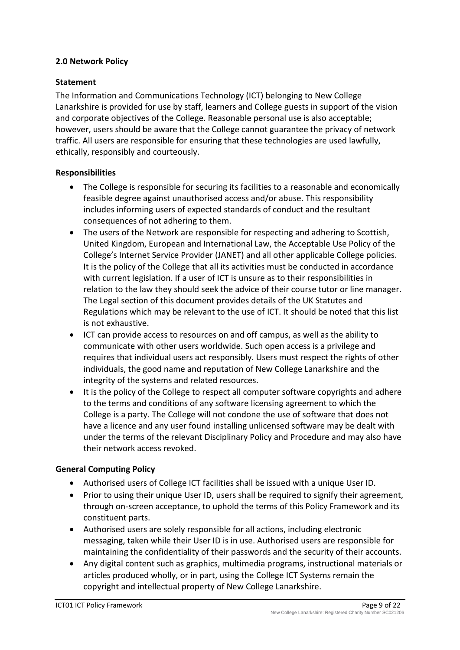# <span id="page-8-0"></span>**2.0 Network Policy**

## <span id="page-8-1"></span>**Statement**

The Information and Communications Technology (ICT) belonging to New College Lanarkshire is provided for use by staff, learners and College guests in support of the vision and corporate objectives of the College. Reasonable personal use is also acceptable; however, users should be aware that the College cannot guarantee the privacy of network traffic. All users are responsible for ensuring that these technologies are used lawfully, ethically, responsibly and courteously.

## <span id="page-8-2"></span>**Responsibilities**

- The College is responsible for securing its facilities to a reasonable and economically feasible degree against unauthorised access and/or abuse. This responsibility includes informing users of expected standards of conduct and the resultant consequences of not adhering to them.
- The users of the Network are responsible for respecting and adhering to Scottish, United Kingdom, European and International Law, the Acceptable Use Policy of the College's Internet Service Provider (JANET) and all other applicable College policies. It is the policy of the College that all its activities must be conducted in accordance with current legislation. If a user of ICT is unsure as to their responsibilities in relation to the law they should seek the advice of their course tutor or line manager. The Legal section of this document provides details of the UK Statutes and Regulations which may be relevant to the use of ICT. It should be noted that this list is not exhaustive.
- ICT can provide access to resources on and off campus, as well as the ability to communicate with other users worldwide. Such open access is a privilege and requires that individual users act responsibly. Users must respect the rights of other individuals, the good name and reputation of New College Lanarkshire and the integrity of the systems and related resources.
- It is the policy of the College to respect all computer software copyrights and adhere to the terms and conditions of any software licensing agreement to which the College is a party. The College will not condone the use of software that does not have a licence and any user found installing unlicensed software may be dealt with under the terms of the relevant Disciplinary Policy and Procedure and may also have their network access revoked.

# <span id="page-8-3"></span>**General Computing Policy**

- Authorised users of College ICT facilities shall be issued with a unique User ID.
- Prior to using their unique User ID, users shall be required to signify their agreement, through on-screen acceptance, to uphold the terms of this Policy Framework and its constituent parts.
- Authorised users are solely responsible for all actions, including electronic messaging, taken while their User ID is in use. Authorised users are responsible for maintaining the confidentiality of their passwords and the security of their accounts.
- Any digital content such as graphics, multimedia programs, instructional materials or articles produced wholly, or in part, using the College ICT Systems remain the copyright and intellectual property of New College Lanarkshire.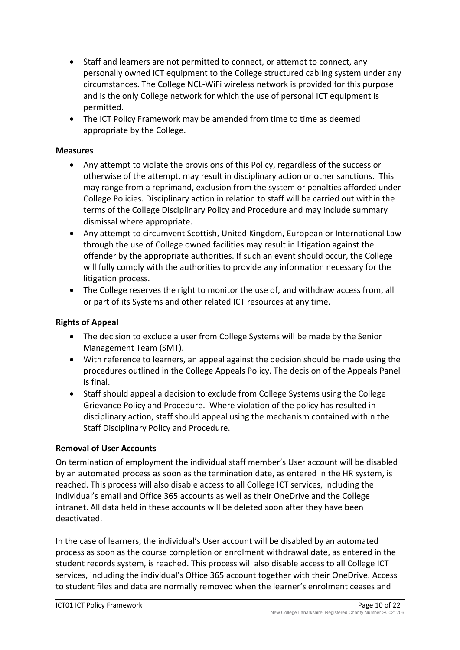- Staff and learners are not permitted to connect, or attempt to connect, any personally owned ICT equipment to the College structured cabling system under any circumstances. The College NCL-WiFi wireless network is provided for this purpose and is the only College network for which the use of personal ICT equipment is permitted.
- The ICT Policy Framework may be amended from time to time as deemed appropriate by the College.

## <span id="page-9-0"></span>**Measures**

- Any attempt to violate the provisions of this Policy, regardless of the success or otherwise of the attempt, may result in disciplinary action or other sanctions. This may range from a reprimand, exclusion from the system or penalties afforded under College Policies. Disciplinary action in relation to staff will be carried out within the terms of the College Disciplinary Policy and Procedure and may include summary dismissal where appropriate.
- Any attempt to circumvent Scottish, United Kingdom, European or International Law through the use of College owned facilities may result in litigation against the offender by the appropriate authorities. If such an event should occur, the College will fully comply with the authorities to provide any information necessary for the litigation process.
- The College reserves the right to monitor the use of, and withdraw access from, all or part of its Systems and other related ICT resources at any time.

# <span id="page-9-1"></span>**Rights of Appeal**

- The decision to exclude a user from College Systems will be made by the Senior Management Team (SMT).
- With reference to learners, an appeal against the decision should be made using the procedures outlined in the College Appeals Policy. The decision of the Appeals Panel is final.
- Staff should appeal a decision to exclude from College Systems using the College Grievance Policy and Procedure. Where violation of the policy has resulted in disciplinary action, staff should appeal using the mechanism contained within the Staff Disciplinary Policy and Procedure.

## <span id="page-9-2"></span>**Removal of User Accounts**

On termination of employment the individual staff member's User account will be disabled by an automated process as soon as the termination date, as entered in the HR system, is reached. This process will also disable access to all College ICT services, including the individual's email and Office 365 accounts as well as their OneDrive and the College intranet. All data held in these accounts will be deleted soon after they have been deactivated.

In the case of learners, the individual's User account will be disabled by an automated process as soon as the course completion or enrolment withdrawal date, as entered in the student records system, is reached. This process will also disable access to all College ICT services, including the individual's Office 365 account together with their OneDrive. Access to student files and data are normally removed when the learner's enrolment ceases and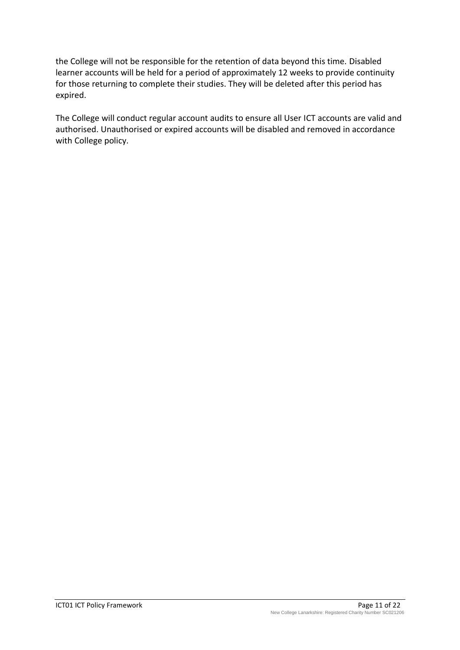the College will not be responsible for the retention of data beyond this time. Disabled learner accounts will be held for a period of approximately 12 weeks to provide continuity for those returning to complete their studies. They will be deleted after this period has expired.

The College will conduct regular account audits to ensure all User ICT accounts are valid and authorised. Unauthorised or expired accounts will be disabled and removed in accordance with College policy.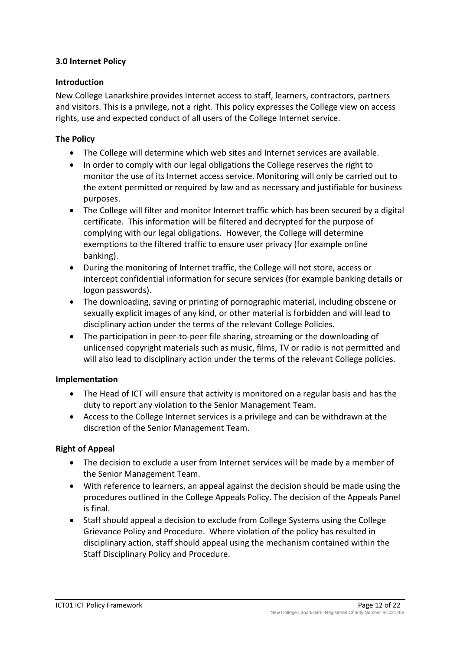## <span id="page-11-0"></span>**3.0 Internet Policy**

## <span id="page-11-1"></span>**Introduction**

New College Lanarkshire provides Internet access to staff, learners, contractors, partners and visitors. This is a privilege, not a right. This policy expresses the College view on access rights, use and expected conduct of all users of the College Internet service.

## <span id="page-11-2"></span>**The Policy**

- The College will determine which web sites and Internet services are available.
- In order to comply with our legal obligations the College reserves the right to monitor the use of its Internet access service. Monitoring will only be carried out to the extent permitted or required by law and as necessary and justifiable for business purposes.
- The College will filter and monitor Internet traffic which has been secured by a digital certificate. This information will be filtered and decrypted for the purpose of complying with our legal obligations. However, the College will determine exemptions to the filtered traffic to ensure user privacy (for example online banking).
- During the monitoring of Internet traffic, the College will not store, access or intercept confidential information for secure services (for example banking details or logon passwords).
- The downloading, saving or printing of pornographic material, including obscene or sexually explicit images of any kind, or other material is forbidden and will lead to disciplinary action under the terms of the relevant College Policies.
- The participation in peer-to-peer file sharing, streaming or the downloading of unlicensed copyright materials such as music, films, TV or radio is not permitted and will also lead to disciplinary action under the terms of the relevant College policies.

## <span id="page-11-3"></span>**Implementation**

- The Head of ICT will ensure that activity is monitored on a regular basis and has the duty to report any violation to the Senior Management Team.
- Access to the College Internet services is a privilege and can be withdrawn at the discretion of the Senior Management Team.

# <span id="page-11-4"></span>**Right of Appeal**

- The decision to exclude a user from Internet services will be made by a member of the Senior Management Team.
- With reference to learners, an appeal against the decision should be made using the procedures outlined in the College Appeals Policy. The decision of the Appeals Panel is final.
- Staff should appeal a decision to exclude from College Systems using the College Grievance Policy and Procedure. Where violation of the policy has resulted in disciplinary action, staff should appeal using the mechanism contained within the Staff Disciplinary Policy and Procedure.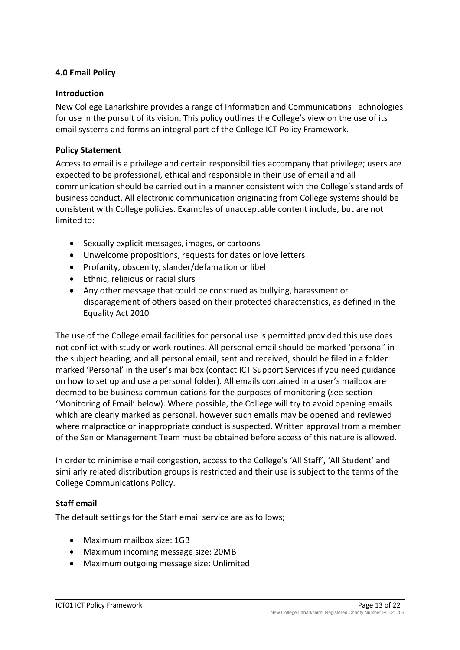## <span id="page-12-0"></span>**4.0 Email Policy**

#### <span id="page-12-1"></span>**Introduction**

New College Lanarkshire provides a range of Information and Communications Technologies for use in the pursuit of its vision. This policy outlines the College's view on the use of its email systems and forms an integral part of the College ICT Policy Framework.

#### <span id="page-12-2"></span>**Policy Statement**

Access to email is a privilege and certain responsibilities accompany that privilege; users are expected to be professional, ethical and responsible in their use of email and all communication should be carried out in a manner consistent with the College's standards of business conduct. All electronic communication originating from College systems should be consistent with College policies. Examples of unacceptable content include, but are not limited to:-

- Sexually explicit messages, images, or cartoons
- Unwelcome propositions, requests for dates or love letters
- Profanity, obscenity, slander/defamation or libel
- Ethnic, religious or racial slurs
- Any other message that could be construed as bullying, harassment or disparagement of others based on their protected characteristics, as defined in the Equality Act 2010

The use of the College email facilities for personal use is permitted provided this use does not conflict with study or work routines. All personal email should be marked 'personal' in the subject heading, and all personal email, sent and received, should be filed in a folder marked 'Personal' in the user's mailbox (contact ICT Support Services if you need guidance on how to set up and use a personal folder). All emails contained in a user's mailbox are deemed to be business communications for the purposes of monitoring (see section 'Monitoring of Email' below). Where possible, the College will try to avoid opening emails which are clearly marked as personal, however such emails may be opened and reviewed where malpractice or inappropriate conduct is suspected. Written approval from a member of the Senior Management Team must be obtained before access of this nature is allowed.

In order to minimise email congestion, access to the College's 'All Staff', 'All Student' and similarly related distribution groups is restricted and their use is subject to the terms of the College Communications Policy.

## <span id="page-12-3"></span>**Staff email**

The default settings for the Staff email service are as follows;

- Maximum mailbox size: 1GB
- Maximum incoming message size: 20MB
- Maximum outgoing message size: Unlimited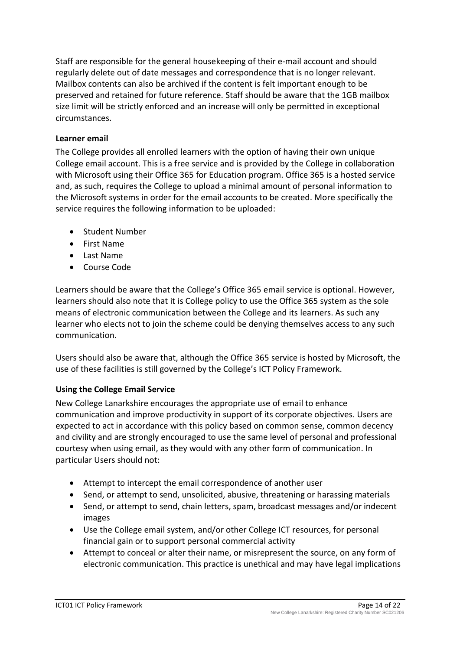Staff are responsible for the general housekeeping of their e-mail account and should regularly delete out of date messages and correspondence that is no longer relevant. Mailbox contents can also be archived if the content is felt important enough to be preserved and retained for future reference. Staff should be aware that the 1GB mailbox size limit will be strictly enforced and an increase will only be permitted in exceptional circumstances.

## <span id="page-13-0"></span>**Learner email**

The College provides all enrolled learners with the option of having their own unique College email account. This is a free service and is provided by the College in collaboration with Microsoft using their Office 365 for Education program. Office 365 is a hosted service and, as such, requires the College to upload a minimal amount of personal information to the Microsoft systems in order for the email accounts to be created. More specifically the service requires the following information to be uploaded:

- Student Number
- First Name
- Last Name
- Course Code

Learners should be aware that the College's Office 365 email service is optional. However, learners should also note that it is College policy to use the Office 365 system as the sole means of electronic communication between the College and its learners. As such any learner who elects not to join the scheme could be denying themselves access to any such communication.

Users should also be aware that, although the Office 365 service is hosted by Microsoft, the use of these facilities is still governed by the College's ICT Policy Framework.

## <span id="page-13-1"></span>**Using the College Email Service**

New College Lanarkshire encourages the appropriate use of email to enhance communication and improve productivity in support of its corporate objectives. Users are expected to act in accordance with this policy based on common sense, common decency and civility and are strongly encouraged to use the same level of personal and professional courtesy when using email, as they would with any other form of communication. In particular Users should not:

- Attempt to intercept the email correspondence of another user
- Send, or attempt to send, unsolicited, abusive, threatening or harassing materials
- Send, or attempt to send, chain letters, spam, broadcast messages and/or indecent images
- Use the College email system, and/or other College ICT resources, for personal financial gain or to support personal commercial activity
- Attempt to conceal or alter their name, or misrepresent the source, on any form of electronic communication. This practice is unethical and may have legal implications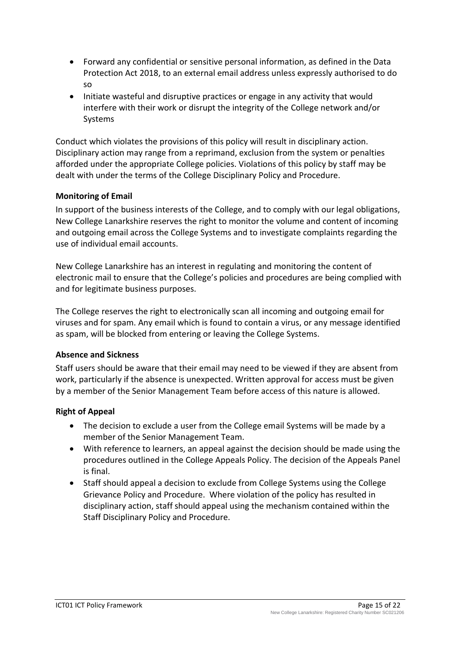- Forward any confidential or sensitive personal information, as defined in the Data Protection Act 2018, to an external email address unless expressly authorised to do so
- Initiate wasteful and disruptive practices or engage in any activity that would interfere with their work or disrupt the integrity of the College network and/or Systems

Conduct which violates the provisions of this policy will result in disciplinary action. Disciplinary action may range from a reprimand, exclusion from the system or penalties afforded under the appropriate College policies. Violations of this policy by staff may be dealt with under the terms of the College Disciplinary Policy and Procedure.

# <span id="page-14-0"></span>**Monitoring of Email**

In support of the business interests of the College, and to comply with our legal obligations, New College Lanarkshire reserves the right to monitor the volume and content of incoming and outgoing email across the College Systems and to investigate complaints regarding the use of individual email accounts.

New College Lanarkshire has an interest in regulating and monitoring the content of electronic mail to ensure that the College's policies and procedures are being complied with and for legitimate business purposes.

The College reserves the right to electronically scan all incoming and outgoing email for viruses and for spam. Any email which is found to contain a virus, or any message identified as spam, will be blocked from entering or leaving the College Systems.

## <span id="page-14-1"></span>**Absence and Sickness**

Staff users should be aware that their email may need to be viewed if they are absent from work, particularly if the absence is unexpected. Written approval for access must be given by a member of the Senior Management Team before access of this nature is allowed.

# <span id="page-14-2"></span>**Right of Appeal**

- The decision to exclude a user from the College email Systems will be made by a member of the Senior Management Team.
- With reference to learners, an appeal against the decision should be made using the procedures outlined in the College Appeals Policy. The decision of the Appeals Panel is final.
- Staff should appeal a decision to exclude from College Systems using the College Grievance Policy and Procedure. Where violation of the policy has resulted in disciplinary action, staff should appeal using the mechanism contained within the Staff Disciplinary Policy and Procedure.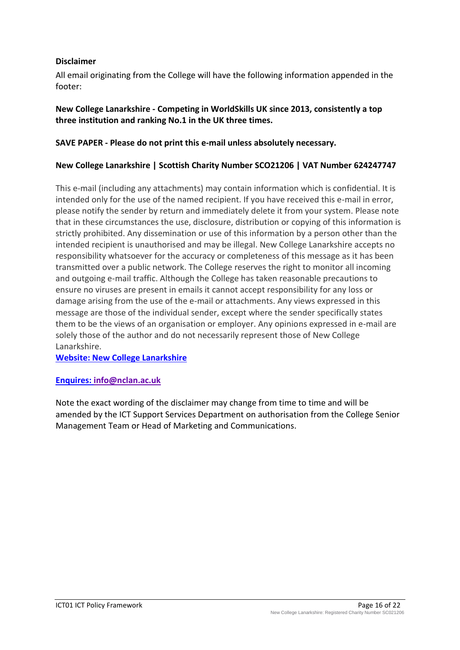## <span id="page-15-0"></span>**Disclaimer**

All email originating from the College will have the following information appended in the footer:

# **New College Lanarkshire - Competing in WorldSkills UK since 2013, consistently a top three institution and ranking No.1 in the UK three times.**

## **SAVE PAPER - Please do not print this e-mail unless absolutely necessary.**

## **New College Lanarkshire | Scottish Charity Number SCO21206 | VAT Number 624247747**

This e-mail (including any attachments) may contain information which is confidential. It is intended only for the use of the named recipient. If you have received this e-mail in error, please notify the sender by return and immediately delete it from your system. Please note that in these circumstances the use, disclosure, distribution or copying of this information is strictly prohibited. Any dissemination or use of this information by a person other than the intended recipient is unauthorised and may be illegal. New College Lanarkshire accepts no responsibility whatsoever for the accuracy or completeness of this message as it has been transmitted over a public network. The College reserves the right to monitor all incoming and outgoing e-mail traffic. Although the College has taken reasonable precautions to ensure no viruses are present in emails it cannot accept responsibility for any loss or damage arising from the use of the e-mail or attachments. Any views expressed in this message are those of the individual sender, except where the sender specifically states them to be the views of an organisation or employer. Any opinions expressed in e-mail are solely those of the author and do not necessarily represent those of New College Lanarkshire.

**[Website: New College Lanarkshire](http://www.nclanarkshire.ac.uk/)**

## **Enquires: [info@nclan.ac.uk](mailto:info@nclan.ac.uk)**

Note the exact wording of the disclaimer may change from time to time and will be amended by the ICT Support Services Department on authorisation from the College Senior Management Team or Head of Marketing and Communications.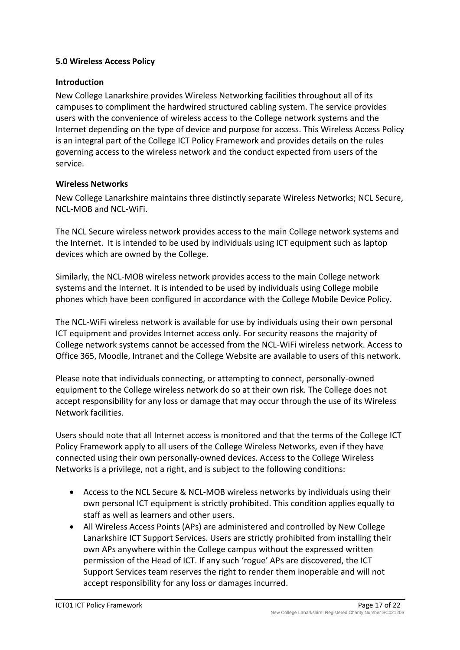## <span id="page-16-0"></span>**5.0 Wireless Access Policy**

## <span id="page-16-1"></span>**Introduction**

New College Lanarkshire provides Wireless Networking facilities throughout all of its campuses to compliment the hardwired structured cabling system. The service provides users with the convenience of wireless access to the College network systems and the Internet depending on the type of device and purpose for access. This Wireless Access Policy is an integral part of the College ICT Policy Framework and provides details on the rules governing access to the wireless network and the conduct expected from users of the service.

#### <span id="page-16-2"></span>**Wireless Networks**

New College Lanarkshire maintains three distinctly separate Wireless Networks; NCL Secure, NCL-MOB and NCL-WiFi.

The NCL Secure wireless network provides access to the main College network systems and the Internet. It is intended to be used by individuals using ICT equipment such as laptop devices which are owned by the College.

Similarly, the NCL-MOB wireless network provides access to the main College network systems and the Internet. It is intended to be used by individuals using College mobile phones which have been configured in accordance with the College Mobile Device Policy.

The NCL-WiFi wireless network is available for use by individuals using their own personal ICT equipment and provides Internet access only. For security reasons the majority of College network systems cannot be accessed from the NCL-WiFi wireless network. Access to Office 365, Moodle, Intranet and the College Website are available to users of this network.

Please note that individuals connecting, or attempting to connect, personally-owned equipment to the College wireless network do so at their own risk. The College does not accept responsibility for any loss or damage that may occur through the use of its Wireless Network facilities.

Users should note that all Internet access is monitored and that the terms of the College ICT Policy Framework apply to all users of the College Wireless Networks, even if they have connected using their own personally-owned devices. Access to the College Wireless Networks is a privilege, not a right, and is subject to the following conditions:

- Access to the NCL Secure & NCL-MOB wireless networks by individuals using their own personal ICT equipment is strictly prohibited. This condition applies equally to staff as well as learners and other users.
- All Wireless Access Points (APs) are administered and controlled by New College Lanarkshire ICT Support Services. Users are strictly prohibited from installing their own APs anywhere within the College campus without the expressed written permission of the Head of ICT. If any such 'rogue' APs are discovered, the ICT Support Services team reserves the right to render them inoperable and will not accept responsibility for any loss or damages incurred.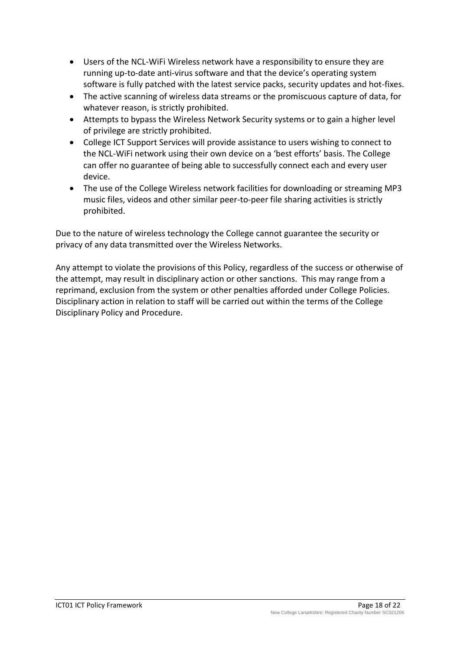- Users of the NCL-WiFi Wireless network have a responsibility to ensure they are running up-to-date anti-virus software and that the device's operating system software is fully patched with the latest service packs, security updates and hot-fixes.
- The active scanning of wireless data streams or the promiscuous capture of data, for whatever reason, is strictly prohibited.
- Attempts to bypass the Wireless Network Security systems or to gain a higher level of privilege are strictly prohibited.
- College ICT Support Services will provide assistance to users wishing to connect to the NCL-WiFi network using their own device on a 'best efforts' basis. The College can offer no guarantee of being able to successfully connect each and every user device.
- The use of the College Wireless network facilities for downloading or streaming MP3 music files, videos and other similar peer-to-peer file sharing activities is strictly prohibited.

Due to the nature of wireless technology the College cannot guarantee the security or privacy of any data transmitted over the Wireless Networks.

Any attempt to violate the provisions of this Policy, regardless of the success or otherwise of the attempt, may result in disciplinary action or other sanctions. This may range from a reprimand, exclusion from the system or other penalties afforded under College Policies. Disciplinary action in relation to staff will be carried out within the terms of the College Disciplinary Policy and Procedure.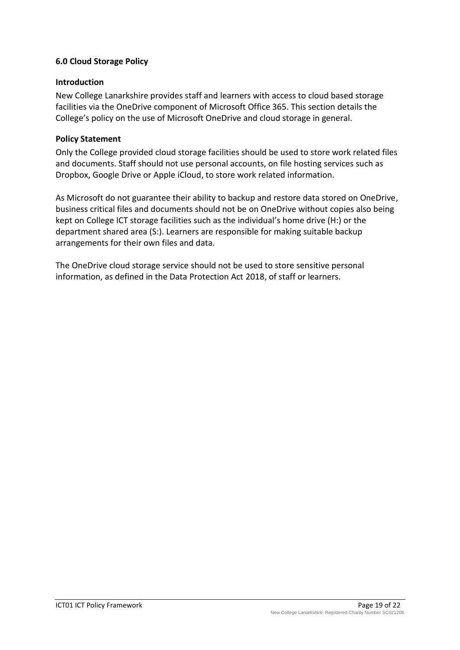## <span id="page-18-0"></span>**6.0 Cloud Storage Policy**

#### <span id="page-18-1"></span>**Introduction**

New College Lanarkshire provides staff and learners with access to cloud based storage facilities via the OneDrive component of Microsoft Office 365. This section details the College's policy on the use of Microsoft OneDrive and cloud storage in general.

#### <span id="page-18-2"></span>**Policy Statement**

Only the College provided cloud storage facilities should be used to store work related files and documents. Staff should not use personal accounts, on file hosting services such as Dropbox, Google Drive or Apple iCloud, to store work related information.

As Microsoft do not guarantee their ability to backup and restore data stored on OneDrive, business critical files and documents should not be on OneDrive without copies also being kept on College ICT storage facilities such as the individual's home drive (H:) or the department shared area (S:). Learners are responsible for making suitable backup arrangements for their own files and data.

The OneDrive cloud storage service should not be used to store sensitive personal information, as defined in the Data Protection Act 2018, of staff or learners.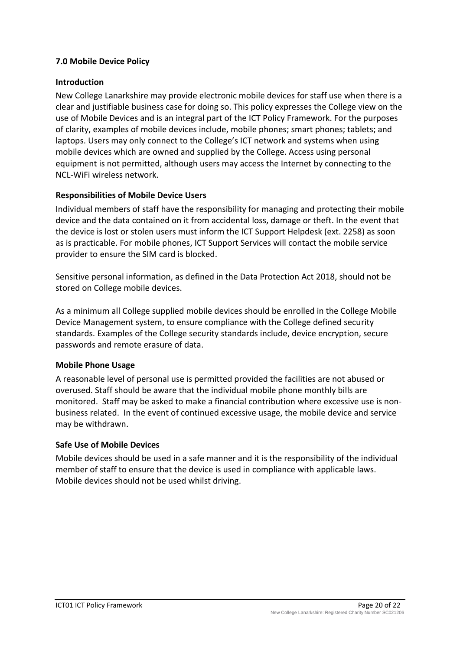## <span id="page-19-0"></span>**7.0 Mobile Device Policy**

## <span id="page-19-1"></span>**Introduction**

New College Lanarkshire may provide electronic mobile devices for staff use when there is a clear and justifiable business case for doing so. This policy expresses the College view on the use of Mobile Devices and is an integral part of the ICT Policy Framework. For the purposes of clarity, examples of mobile devices include, mobile phones; smart phones; tablets; and laptops. Users may only connect to the College's ICT network and systems when using mobile devices which are owned and supplied by the College. Access using personal equipment is not permitted, although users may access the Internet by connecting to the NCL-WiFi wireless network.

# <span id="page-19-2"></span>**Responsibilities of Mobile Device Users**

Individual members of staff have the responsibility for managing and protecting their mobile device and the data contained on it from accidental loss, damage or theft. In the event that the device is lost or stolen users must inform the ICT Support Helpdesk (ext. 2258) as soon as is practicable. For mobile phones, ICT Support Services will contact the mobile service provider to ensure the SIM card is blocked.

Sensitive personal information, as defined in the Data Protection Act 2018, should not be stored on College mobile devices.

As a minimum all College supplied mobile devices should be enrolled in the College Mobile Device Management system, to ensure compliance with the College defined security standards. Examples of the College security standards include, device encryption, secure passwords and remote erasure of data.

## <span id="page-19-3"></span>**Mobile Phone Usage**

A reasonable level of personal use is permitted provided the facilities are not abused or overused. Staff should be aware that the individual mobile phone monthly bills are monitored. Staff may be asked to make a financial contribution where excessive use is nonbusiness related. In the event of continued excessive usage, the mobile device and service may be withdrawn.

## <span id="page-19-4"></span>**Safe Use of Mobile Devices**

Mobile devices should be used in a safe manner and it is the responsibility of the individual member of staff to ensure that the device is used in compliance with applicable laws. Mobile devices should not be used whilst driving.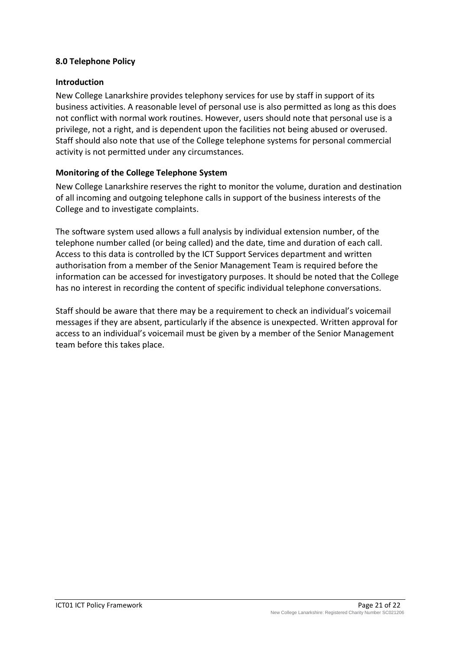## <span id="page-20-0"></span>**8.0 Telephone Policy**

#### <span id="page-20-1"></span>**Introduction**

New College Lanarkshire provides telephony services for use by staff in support of its business activities. A reasonable level of personal use is also permitted as long as this does not conflict with normal work routines. However, users should note that personal use is a privilege, not a right, and is dependent upon the facilities not being abused or overused. Staff should also note that use of the College telephone systems for personal commercial activity is not permitted under any circumstances.

## <span id="page-20-2"></span>**Monitoring of the College Telephone System**

New College Lanarkshire reserves the right to monitor the volume, duration and destination of all incoming and outgoing telephone calls in support of the business interests of the College and to investigate complaints.

The software system used allows a full analysis by individual extension number, of the telephone number called (or being called) and the date, time and duration of each call. Access to this data is controlled by the ICT Support Services department and written authorisation from a member of the Senior Management Team is required before the information can be accessed for investigatory purposes. It should be noted that the College has no interest in recording the content of specific individual telephone conversations.

Staff should be aware that there may be a requirement to check an individual's voicemail messages if they are absent, particularly if the absence is unexpected. Written approval for access to an individual's voicemail must be given by a member of the Senior Management team before this takes place.